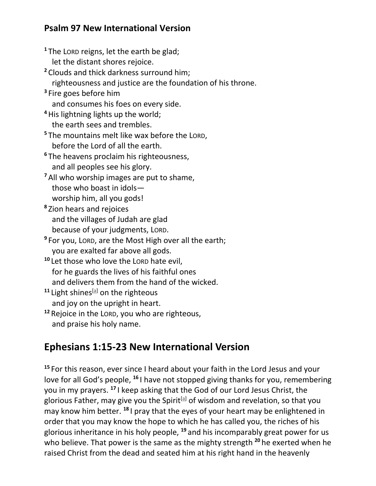## **Psalm 97 New International Version**

**<sup>1</sup>** The LORD reigns, let the earth be glad; let the distant shores rejoice. **<sup>2</sup>** Clouds and thick darkness surround him; righteousness and justice are the foundation of his throne. **3** Fire goes before him and consumes his foes on every side. **<sup>4</sup>**His lightning lights up the world; the earth sees and trembles. **<sup>5</sup>** The mountains melt like wax before the LORD, before the Lord of all the earth. **<sup>6</sup>** The heavens proclaim his righteousness, and all peoples see his glory. **<sup>7</sup>** All who worship images are put to shame, those who boast in idols worship him, all you gods! **8** Zion hears and rejoices and the villages of Judah are glad because of your judgments, LORD. **9** For you, LORD, are the Most High over all the earth; you are exalted far above all gods. **<sup>10</sup>** Let those who love the LORD hate evil, for he guards the lives of his faithful ones and delivers them from the hand of the wicked. <sup>11</sup> Light shines<sup>[\[a\]](https://www.biblegateway.com/passage/?search=Psalm+97&version=NIV#fen-NIV-15490a)</sup> on the righteous and joy on the upright in heart. **<sup>12</sup>** Rejoice in the LORD, you who are righteous,

and praise his holy name.

## **Ephesians 1:15-23 New International Version**

**<sup>15</sup>** For this reason, ever since I heard about your faith in the Lord Jesus and your love for all God's people, **<sup>16</sup>** I have not stopped giving thanks for you, remembering you in my prayers. **<sup>17</sup>** I keep asking that the God of our Lord Jesus Christ, the glorious Father, may give you the Spirit<sup>[\[a\]](https://www.biblegateway.com/passage/?search=Ephesians+1%3A15-23&version=NIV#fen-NIV-29224a)</sup> of wisdom and revelation, so that you may know him better. **<sup>18</sup>** I pray that the eyes of your heart may be enlightened in order that you may know the hope to which he has called you, the riches of his glorious inheritance in his holy people, **<sup>19</sup>** and his incomparably great power for us who believe. That power is the same as the mighty strength **<sup>20</sup>** he exerted when he raised Christ from the dead and seated him at his right hand in the heavenly